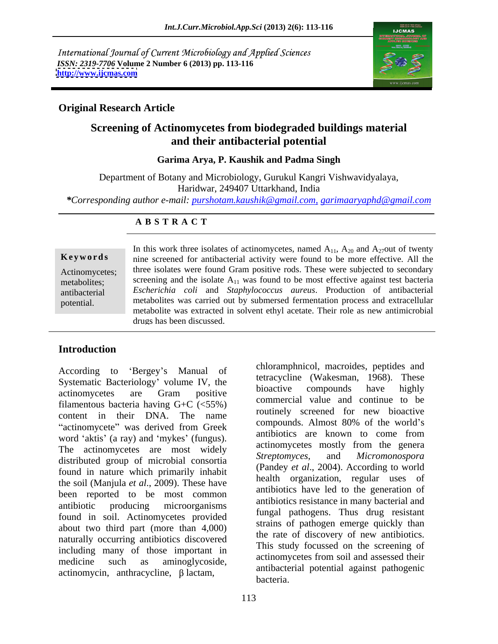International Journal of Current Microbiology and Applied Sciences *ISSN: 2319-7706* **Volume 2 Number 6 (2013) pp. 113-116 <http://www.ijcmas.com>**



### **Original Research Article**

# **Screening of Actinomycetes from biodegraded buildings material and their antibacterial potential**

**Garima Arya, P. Kaushik and Padma Singh**

Department of Botany and Microbiology, Gurukul Kangri Vishwavidyalaya, Haridwar, 249407 Uttarkhand, India *\*Corresponding author e-mail: purshotam.kaushik@gmail.com, garimaaryaphd@gmail.com*

### **A B S T R A C T**

**Keywords** nine screened for antibacterial activity were found to be more effective. All the Actinomycetes; three isolates were found Gram positive rods. These were subjected to secondary metabolities; screening and the isolate  $A_{11}$  was found to be most effective against test bacteria antibacterial *Escherichia coli* and *Staphylococcus aureus*. Production of antibacterial potential. metabolites was carried out by submersed fermentation process and extracellular In this work three isolates of actinomycetes, named  $A_{11}$ ,  $A_{20}$  and  $A_{27}$ out of twenty metabolite was extracted in solvent ethyl acetate. Their role as new antimicrobial drugs has been discussed.

## **Introduction**

Systematic Bacteriology' volume IV, the terracycline (wakesman, 1908). These<br>bioactive compounds have highly filamentous bacteria having  $G+C$  (<55%) content in their DNA. The name routinely screened for new broactive<br>compounds. Almost 80% of the world's word 'aktis' (a ray) and 'mykes' (fungus). The actinomycetes are most widely<br>distributed group of migrobial concertic Streptomyces, and Micromonospora distributed group of microbial consortia found in nature which primarily inhabit the soil (Manjula *et al*., 2009). These have been reported to be most common found in soil. Actinomycetes provided about two third part (more than 4,000) naturally occurring antibiotics discovered including many of those important in<br>medicine such as aminoglycoside,

According to 'Bergey's Manual of Chronamphine Curvey Haccording to 'Bergey's Manual of Curvey Haccording (W. 15, 2006). These actinomycetes are Gram positive business compounds have inginy actinomycete" was derived from Greek compounds. Almost 80% of the world's antibiotic producing microorganisms antibiotics resistance in many bacterial and medicine such as aminoglycoside, acumomyceus nom son and assessed them According to 'Bergey's Manual of chloramphrincol, macroides, peptides and Systematic Bacteriology' volume IV, the terracycline (Wakseman, 1968). These filamentous bacteria having G+C (<55%) commercial value and continue t tetracycline (Wakesman, 1968). These bioactive compounds have highly commercial value and continue to be routinely screened for new bioactive compounds. Almost 80% of the world's antibiotics are known to come from actinomycetes mostly from the genera *Streptomyces*, and *Micromonospora* (Pandey *et al*., 2004). According to world health organization, regular uses of antibiotics have led to the generation of antibiotics resistance in many bacterial and fungal pathogens. Thus drug resistant strains of pathogen emerge quickly than the rate of discovery of new antibiotics. This study focussed on the screening of actinomycetes from soil and assessed their antibacterial potential against pathogenic bacteria.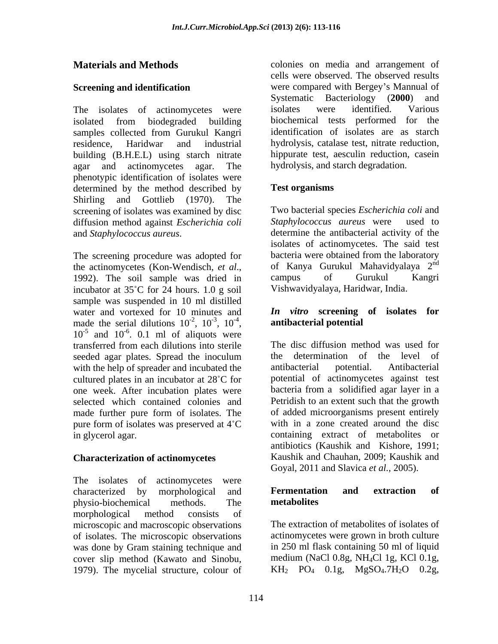building (B.H.E.L) using starch nitrate agar and actinomycetes agar. The phenotypic identification of isolates were determined by the method described by **Test organisms** Shirling and Gottlieb (1970). The diffusion method against *Escherichia coli*

The screening procedure was adopted for incubator at  $35^{\circ}$ C for 24 hours. 1.0 g soil sample was suspended in 10 ml distilled water and vortexed for 10 minutes and made the serial dilutions  $10^{-2}$ ,  $10^{-3}$ ,  $10^{-4}$ , made the serial dilutions  $10^{-2}$ ,  $10^{-3}$ ,  $10^{-4}$ , antibacterial potential and  $10^{-5}$  and  $10^{-6}$ . 0.1 ml of aliquots were and  $10^{-6}$ . 0.1 ml of aliquots were seeded agar plates. Spread the inoculum the determination of the level of with the help of spreader and incubated the antibacterial potential. Antibacterial with the help of spreader and incubated the antibacterial cultured plates in an incubator at 28<sup>°</sup>C for one week. After incubation plates were selected which contained colonies and made further pure form of isolates. The pure form of isolates was preserved at  $4^{\circ}C$ 

#### **Characterization of actinomycetes**

The isolates of actinomycetes were characterized by morphological and **Fermentation and extraction of** physio-biochemical methods. The **metabolites** morphological method consists of microscopic and macroscopic observations of isolates. The microscopic observations actinomycetes were grown in broth culture was done by Gram staining technique and cover slip method (Kawato and Sinobu, medium (NaCl 0.8g, NH<sub>4</sub>Cl 1g, KCl 0.1g, 1979). The mycelial structure, colour of KH<sub>2</sub> PO<sub>4</sub> 0.1g, MgSO<sub>4</sub>.7H<sub>2</sub>O 0.2g, 1979). The mycelial structure, colour of

**Materials and Methods** colonies on media and arrangement of **Screening and identification were compared with Bergey's Mannual of** The isolates of actinomycetes were isolates were identified. Various isolated from biodegraded building biochemical tests performed for the samples collected from Gurukul Kangri identification of isolates are as starch residence, Haridwar and industrial hydrolysis, catalase test, nitrate reduction, cells were observed. The observed results Systematic Bacteriology (**2000**) and isolates were identified. Various identification of isolates are as starch hippurate test, aesculin reduction, casein hydrolysis, and starch degradation.

### **Test organisms**

screening of isolates was examined by disc Two bacterial species *Escherichia coli* and and *Staphylococcus aureus*. determine the antibacterial activity of the the actinomycetes (Kon-Wendisch, *et al.*, of Kanya Gurukul Mahavidyalaya 2<sup>nd</sup> 1992). The soil sample was dried in campus of Gurukul Kangri *Staphylococcus aureus* were isolates of actinomycetes. The said test bacteria were obtained from the laboratory of Kanya Gurukul Mahavidyalaya 2 nd campus of Gurukul Kangri Vishwavidyalaya, Haridwar, India.

#### $-2$ ,  $10^{-3}$ ,  $10^{-4}$ , antibacterial potential ,  $10^{-3}$ ,  $10^{-4}$ , antibacterial potential  $, 10^{-4}, \qquad \qquad$  antibacterial potential *In vitro* **screening of isolates for**

transferred from each dilutions into sterile in glycerol agar. containing extract of metabolites or The disc diffusion method was used for determination of the level of antibacterial potential. Antibacterial potential of actinomycetes against test bacteria from a solidified agar layer in a Petridish to an extent such that the growth of added microorganisms present entirely with in a zone created around the disc antibiotics (Kaushik and Kishore, 1991; Kaushik and Chauhan, 2009; Kaushik and Goyal, 2011 and Slavica *et al.,* 2005).

#### **Fermentation and extraction of metabolites**

The extraction of metabolites of isolates of in 250 ml flask containing 50 ml of liquid medium (NaCl 0.8g, NH4Cl 1g, KCl 0.1g,  $KH_{2}$  PO<sub>4</sub> 0.1g, MgSO<sub>4</sub>.7H<sub>2</sub>O 0.2g,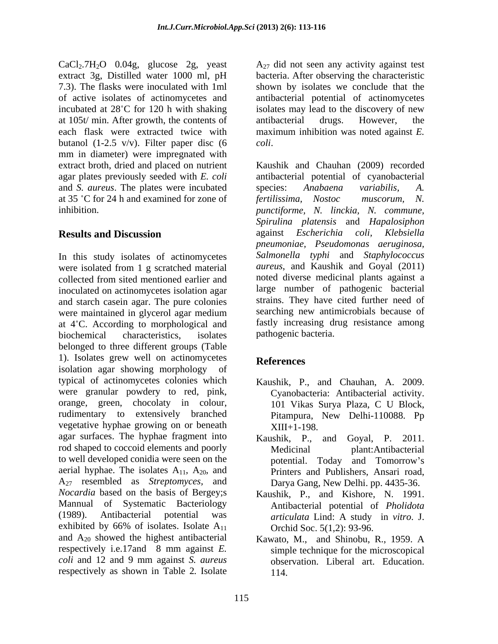CaCl2.7H2O 0.04g, glucose 2g, yeast extract 3g, Distilled water 1000 ml, pH bacteria. After observing the characteristic 7.3). The flasks were inoculated with 1ml shown by isolates we conclude that the of active isolates of actinomycetes and antibacterial potential of actinomycetes incubated at  $28^{\circ}$ C for 120 h with shaking at 105t/ min. After growth, the contents of antibacterial drugs. However, the each flask were extracted twice with maximum inhibition was noted against *E.*  butanol (1-2.5 v/v). Filter paper disc  $(6 \text{ }$  coli. mm in diameter) were impregnated with extract broth, dried and placed on nutrient Kaushik and Chauhan (2009) recorded and *S. aureus*. The plates were incubated at 35 °C for 24 h and examined for zone of fertilissima, Nostoc muscorum, N.

In this study isolates of actinomycetes were isolated from 1 g scratched material collected from sited mentioned earlier and hoted diverse medicinal plants against a inoculated on actinomycetes isolation agar and starch casein agar. The pure colonies were maintained in glycerol agar medium at  $4^{\circ}$ C. According to morphological and biochemical characteristics, isolates belonged to three different groups (Table 1). Isolates grew well on actinomycetes References isolation agar showing morphology of typical of actinomycetes colonies which were granular powdery to red, pink, orange, green, chocolaty in colour, rudimentary to extensively branched vegetative hyphae growing on or beneath  $XIII + 1-198$ agar surfaces. The hyphae fragment into Kaushik, P., rod shaped to coccoid elements and poorly Medicinal to well developed conidia were seen on the potential. Today and Tomorrow's aerial hyphae. The isolates  $A_{11}$ ,  $A_{20}$ , and Printers and Publishers, Ansari road, A27 resembled as *Streptomyces,* and Darya Gang, New Delhi. pp. 4435-36. *Nocardia* based on the basis of Bergey;s Mannual of Systematic Bacteriology (1989). Antibacterial potential was *articulata* Lind: A study in *vitro*. J. exhibited by 66% of isolates. Isolate  $A_{11}$ and A20 showed the highest antibacterial Kawato, M., and Shinobu, R., 1959. A respectively i.e.17and 8 mm against *E. coli* and 12 and 9 mm against *S. aureus* respectively as shown in Table 2*.* Isolate

 $A_{27}$  did not seen any activity against test isolates may lead to the discovery of new antibacterial drugs. However, the

agar plates previously seeded with *E. coli* antibacterial potential of cyanobacterial inhibition. *punctiforme, N. linckia, N. commune,* **Results and Discussion** *coli*. Kaushik and Chauhan (2009) recorded species: *Anabaena variabilis, A. fertilissima, Nostoc muscorum, N. Spirulina platensis* and *Hapalosiphon* against *Escherichia coli, Klebsiella pneumoniae, Pseudomonas aeruginosa, Salmonella typhi* and *Staphylococcus aureus*, and Kaushik and Goyal (2011) noted diverse medicinal plants against a large number of pathogenic bacterial strains. They have cited further need of searching new antimicrobials because of fastly increasing drug resistance among pathogenic bacteria.

# **References**

- Kaushik, P., and Chauhan, A. 2009. Cyanobacteria: Antibacterial activity. 101 Vikas Surya Plaza, C U Block, Pitampura, New Delhi-110088. Pp XIII+1-198.
- and Goyal, P. 2011. plant:Antibacterial potential. Today and Tomorrow's
- Kaushik, P., and Kishore, N. 1991. Antibacterial potential of *Pholidota*  Orchid Soc. 5(1,2): 93-96.
- simple technique for the microscopical observation. Liberal art. Education. 114.